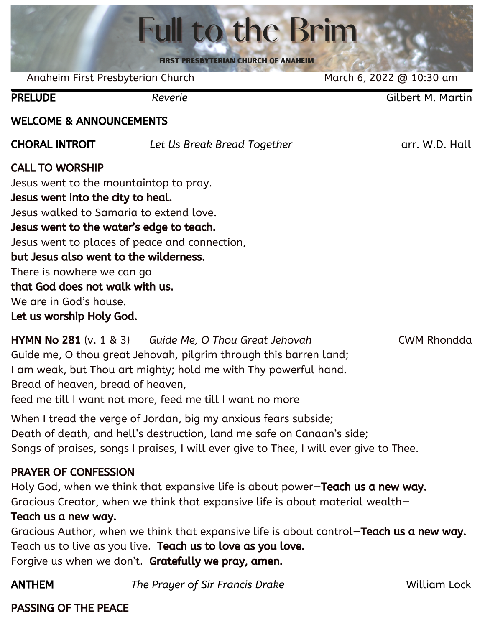|                                                                                                                                                                                                                                                                                                                                                               | <b>Full to the Brim</b>                                          |                          |
|---------------------------------------------------------------------------------------------------------------------------------------------------------------------------------------------------------------------------------------------------------------------------------------------------------------------------------------------------------------|------------------------------------------------------------------|--------------------------|
|                                                                                                                                                                                                                                                                                                                                                               | <b>FIRST PRESBYTERIAN CHURCH OF ANAHEIM</b>                      |                          |
| Anaheim First Presbyterian Church                                                                                                                                                                                                                                                                                                                             |                                                                  | March 6, 2022 @ 10:30 am |
| <b>PRELUDE</b>                                                                                                                                                                                                                                                                                                                                                | Reverie                                                          | <b>Gilbert M. Martin</b> |
| <b>WELCOME &amp; ANNOUNCEMENTS</b>                                                                                                                                                                                                                                                                                                                            |                                                                  |                          |
| <b>CHORAL INTROIT</b>                                                                                                                                                                                                                                                                                                                                         | Let Us Break Bread Together                                      | arr. W.D. Hall           |
| <b>CALL TO WORSHIP</b><br>Jesus went to the mountaintop to pray.<br>Jesus went into the city to heal.<br>Jesus walked to Samaria to extend love.<br>Jesus went to the water's edge to teach.<br>but Jesus also went to the wilderness.<br>There is nowhere we can go<br>that God does not walk with us.<br>We are in God's house.<br>Let us worship Holy God. | Jesus went to places of peace and connection,                    |                          |
|                                                                                                                                                                                                                                                                                                                                                               | <b>LIVMNI No. 201</b> (y 1, 9, 2) Cuide Me, O Thou Croot Johavah | CINAL Dhondda            |

HYMN No 281 (v. 1 & 3) *Guide Me, O Thou Great Jehovah* CWM Rhondda Guide me, O thou great Jehovah, pilgrim through this barren land; I am weak, but Thou art mighty; hold me with Thy powerful hand. Bread of heaven, bread of heaven, feed me till I want not more, feed me till I want no more

When I tread the verge of Jordan, big my anxious fears subside; Death of death, and hell's destruction, land me safe on Canaan's side; Songs of praises, songs I praises, I will ever give to Thee, I will ever give to Thee.

### PRAYER OF CONFESSION

Holy God, when we think that expansive life is about power-Teach us a new way. Gracious Creator, when we think that expansive life is about material wealth—

### Teach us a new way.

Gracious Author, when we think that expansive life is about control—Teach us a new way. Teach us to live as you live. Teach us to love as you love. Forgive us when we don't. Gratefully we pray, amen.

ANTHEM *The Prayer of Sir Francis Drake* William Lock

### PASSING OF THE PEACE